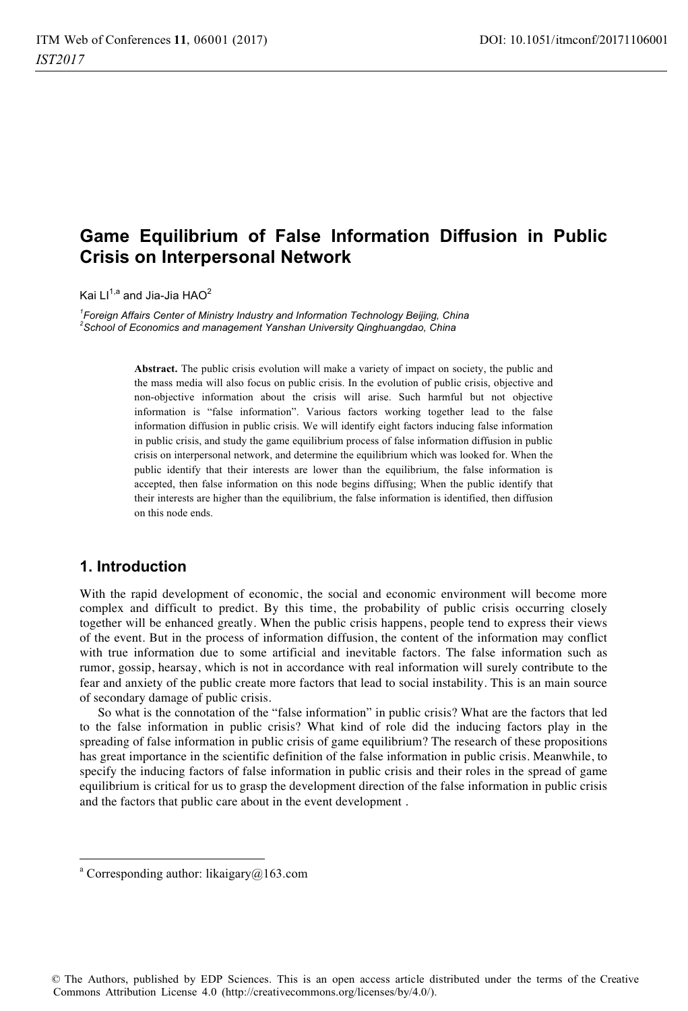# **Game Equilibrium of False Information Diffusion in Public Crisis on Interpersonal Network**

Kai  $LI^{1,a}$  and Jia-Jia HAO<sup>2</sup>

*1 Foreign Affairs Center of Ministry Industry and Information Technology Beijing, China 2 School of Economics and management Yanshan University Qinghuangdao, China* 

> **Abstract.** The public crisis evolution will make a variety of impact on society, the public and the mass media will also focus on public crisis. In the evolution of public crisis, objective and non-objective information about the crisis will arise. Such harmful but not objective information is "false information". Various factors working together lead to the false information diffusion in public crisis. We will identify eight factors inducing false information in public crisis, and study the game equilibrium process of false information diffusion in public crisis on interpersonal network, and determine the equilibrium which was looked for. When the public identify that their interests are lower than the equilibrium, the false information is accepted, then false information on this node begins diffusing; When the public identify that their interests are higher than the equilibrium, the false information is identified, then diffusion on this node ends.

# **1. Introduction**

 $\overline{a}$ 

With the rapid development of economic, the social and economic environment will become more complex and difficult to predict. By this time, the probability of public crisis occurring closely together will be enhanced greatly. When the public crisis happens, people tend to express their views of the event. But in the process of information diffusion, the content of the information may conflict with true information due to some artificial and inevitable factors. The false information such as rumor, gossip, hearsay, which is not in accordance with real information will surely contribute to the fear and anxiety of the public create more factors that lead to social instability. This is an main source of secondary damage of public crisis.

So what is the connotation of the "false information" in public crisis? What are the factors that led to the false information in public crisis? What kind of role did the inducing factors play in the spreading of false information in public crisis of game equilibrium? The research of these propositions has great importance in the scientific definition of the false information in public crisis. Meanwhile, to specify the inducing factors of false information in public crisis and their roles in the spread of game equilibrium is critical for us to grasp the development direction of the false information in public crisis and the factors that public care about in the event development .

© The Authors, published by EDP Sciences. This is an open access article distributed under the terms of the Creative Commons Attribution License 4.0 (http://creativecommons.org/licenses/by/4.0/).

<sup>&</sup>lt;sup>a</sup> Corresponding author: likaigary@163.com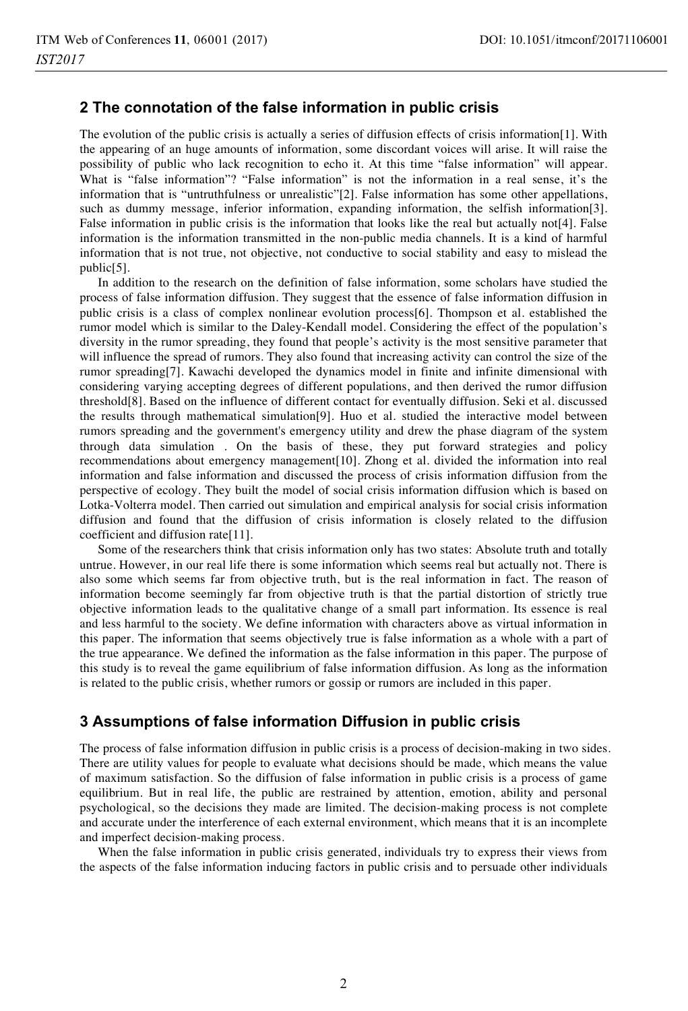#### **2 The connotation of the false information in public crisis**

The evolution of the public crisis is actually a series of diffusion effects of crisis information[1]. With the appearing of an huge amounts of information, some discordant voices will arise. It will raise the possibility of public who lack recognition to echo it. At this time "false information" will appear. What is "false information"? "False information" is not the information in a real sense, it's the information that is "untruthfulness or unrealistic"[2]. False information has some other appellations, such as dummy message, inferior information, expanding information, the selfish information[3]. False information in public crisis is the information that looks like the real but actually not[4]. False information is the information transmitted in the non-public media channels. It is a kind of harmful information that is not true, not objective, not conductive to social stability and easy to mislead the public[5].

In addition to the research on the definition of false information, some scholars have studied the process of false information diffusion. They suggest that the essence of false information diffusion in public crisis is a class of complex nonlinear evolution process[6]. Thompson et al. established the rumor model which is similar to the Daley-Kendall model. Considering the effect of the population's diversity in the rumor spreading, they found that people's activity is the most sensitive parameter that will influence the spread of rumors. They also found that increasing activity can control the size of the rumor spreading[7]. Kawachi developed the dynamics model in finite and infinite dimensional with considering varying accepting degrees of different populations, and then derived the rumor diffusion threshold[8]. Based on the influence of different contact for eventually diffusion. Seki et al. discussed the results through mathematical simulation[9]. Huo et al. studied the interactive model between rumors spreading and the government's emergency utility and drew the phase diagram of the system through data simulation . On the basis of these, they put forward strategies and policy recommendations about emergency management[10]. Zhong et al. divided the information into real information and false information and discussed the process of crisis information diffusion from the perspective of ecology. They built the model of social crisis information diffusion which is based on Lotka-Volterra model. Then carried out simulation and empirical analysis for social crisis information diffusion and found that the diffusion of crisis information is closely related to the diffusion coefficient and diffusion rate[11].

Some of the researchers think that crisis information only has two states: Absolute truth and totally untrue. However, in our real life there is some information which seems real but actually not. There is also some which seems far from objective truth, but is the real information in fact. The reason of information become seemingly far from objective truth is that the partial distortion of strictly true objective information leads to the qualitative change of a small part information. Its essence is real and less harmful to the society. We define information with characters above as virtual information in this paper. The information that seems objectively true is false information as a whole with a part of the true appearance. We defined the information as the false information in this paper. The purpose of this study is to reveal the game equilibrium of false information diffusion. As long as the information is related to the public crisis, whether rumors or gossip or rumors are included in this paper.

## **3 Assumptions of false information Diffusion in public crisis**

The process of false information diffusion in public crisis is a process of decision-making in two sides. There are utility values for people to evaluate what decisions should be made, which means the value of maximum satisfaction. So the diffusion of false information in public crisis is a process of game equilibrium. But in real life, the public are restrained by attention, emotion, ability and personal psychological, so the decisions they made are limited. The decision-making process is not complete and accurate under the interference of each external environment, which means that it is an incomplete and imperfect decision-making process.

When the false information in public crisis generated, individuals try to express their views from the aspects of the false information inducing factors in public crisis and to persuade other individuals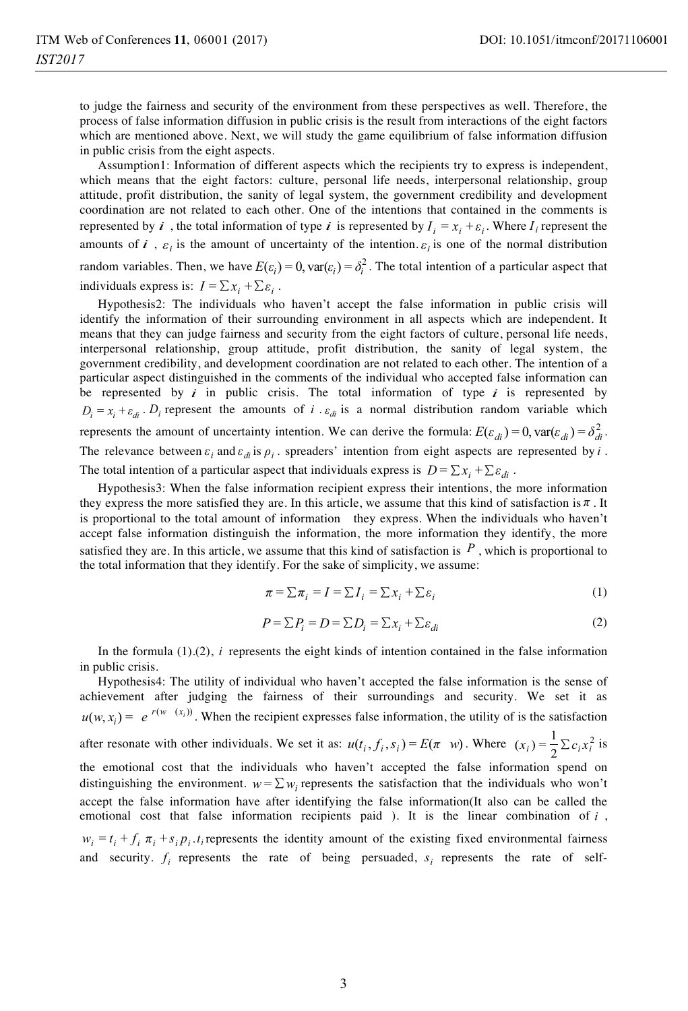to judge the fairness and security of the environment from these perspectives as well. Therefore, the process of false information diffusion in public crisis is the result from interactions of the eight factors which are mentioned above. Next, we will study the game equilibrium of false information diffusion in public crisis from the eight aspects.

Assumption1: Information of different aspects which the recipients try to express is independent, which means that the eight factors: culture, personal life needs, interpersonal relationship, group attitude, profit distribution, the sanity of legal system, the government credibility and development coordination are not related to each other. One of the intentions that contained in the comments is represented by *i*, the total information of type *i* is represented by  $I_i = x_i + \varepsilon_i$ . Where  $I_i$  represent the amounts of *i*,  $\varepsilon_i$  is the amount of uncertainty of the intention.  $\varepsilon_i$  is one of the normal distribution random variables. Then, we have  $E(\varepsilon_i) = 0$ , var $(\varepsilon_i) = \delta_i^2$ . The total intention of a particular aspect that individuals express is:  $I = \sum x_i + \sum \varepsilon_i$ .

Hypothesis2: The individuals who haven't accept the false information in public crisis will identify the information of their surrounding environment in all aspects which are independent. It means that they can judge fairness and security from the eight factors of culture, personal life needs, interpersonal relationship, group attitude, profit distribution, the sanity of legal system, the government credibility, and development coordination are not related to each other. The intention of a particular aspect distinguished in the comments of the individual who accepted false information can be represented by  $i$  in public crisis. The total information of type  $i$  is represented by  $D_i = x_i + \varepsilon_{di}$ .  $D_i$  represent the amounts of *i*  $\varepsilon_{di}$  is a normal distribution random variable which represents the amount of uncertainty intention. We can derive the formula:  $E(\varepsilon_{di}) = 0$ ,  $var(\varepsilon_{di}) = \delta_{di}^2$ . The relevance between  $\varepsilon_i$  and  $\varepsilon_{di}$  is  $\rho_i$ . spreaders' intention from eight aspects are represented by *i*. The total intention of a particular aspect that individuals express is  $D = \sum x_i + \sum \varepsilon_{di}$ .

Hypothesis3: When the false information recipient express their intentions, the more information they express the more satisfied they are. In this article, we assume that this kind of satisfaction is  $\pi$ . It is proportional to the total amount of information they express. When the individuals who haven't accept false information distinguish the information, the more information they identify, the more satisfied they are. In this article, we assume that this kind of satisfaction is  $P$ , which is proportional to the total information that they identify. For the sake of simplicity, we assume:

$$
\pi = \sum \pi_i = I = \sum I_i = \sum x_i + \sum \varepsilon_i \tag{1}
$$

$$
P = \sum P_i = D = \sum D_i = \sum x_i + \sum \varepsilon_{di}
$$
 (2)

In the formula  $(1)(2)$ ,  $i$  represents the eight kinds of intention contained in the false information in public crisis.

Hypothesis4: The utility of individual who haven't accepted the false information is the sense of achievement after judging the fairness of their surroundings and security. We set it as  $u(w, x_i) = e^{r(w - (x_i))}$ . When the recipient expresses false information, the utility of is the satisfaction after resonate with other individuals. We set it as:  $u(t_i, f_i, s_i) = E(\pi \ w)$ . Where  $(x_i) = \frac{1}{2} \sum c_i x_i^2$ 2  $(x_i) = \frac{1}{2} \sum c_i x_i^2$  is the emotional cost that the individuals who haven't accepted the false information spend on distinguishing the environment.  $w = \sum w_i$  represents the satisfaction that the individuals who won't accept the false information have after identifying the false information(It also can be called the emotional cost that false information recipients paid ). It is the linear combination of *i* ,  $w_i = t_i + f_i \pi_i + s_i p_i t_i$  represents the identity amount of the existing fixed environmental fairness and security.  $f_i$  represents the rate of being persuaded,  $s_i$  represents the rate of self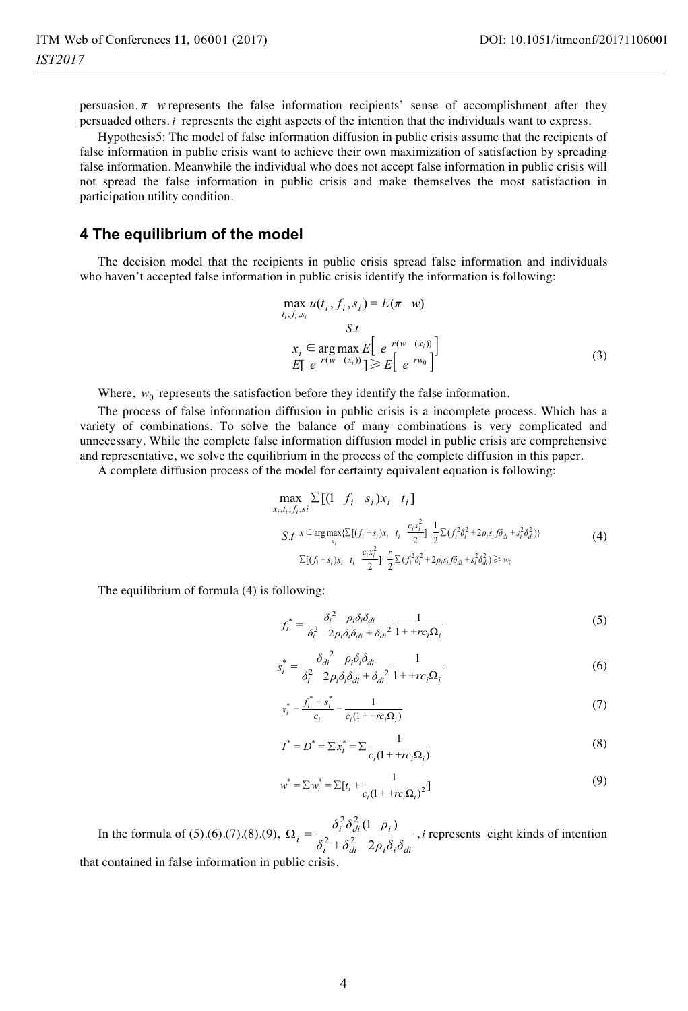persuasion. *π w* represents the false information recipients' sense of accomplishment after they persuaded others. *i* represents the eight aspects of the intention that the individuals want to express.

Hypothesis5: The model of false information diffusion in public crisis assume that the recipients of false information in public crisis want to achieve their own maximization of satisfaction by spreading false information. Meanwhile the individual who does not accept false information in public crisis will not spread the false information in public crisis and make themselves the most satisfaction in participation utility condition.

#### **4 The equilibrium of the model**

The decision model that the recipients in public crisis spread false information and individuals who haven't accepted false information in public crisis identify the information is following:

$$
\max_{t_i, f_i, s_i} u(t_i, f_i, s_i) = E(\pi \quad w)
$$
  

$$
S.t
$$
  

$$
x_i \in \arg \max E\left[e^{-r(w - (x_i))}\right]
$$
  

$$
E[e^{-r(w - (x_i))}] \ge E\left[e^{-rw_0}\right]
$$
 (3)

Where,  $w_0$  represents the satisfaction before they identify the false information.

The process of false information diffusion in public crisis is a incomplete process. Which has a variety of combinations. To solve the balance of many combinations is very complicated and unnecessary. While the complete false information diffusion model in public crisis are comprehensive and representative, we solve the equilibrium in the process of the complete diffusion in this paper.

A complete diffusion process of the model for certainty equivalent equation is following:

$$
\max_{x_i, t_i, f_i, s i} \sum [\begin{pmatrix} 1 & f_i & s_i \end{pmatrix} x_i & t_i ]
$$
  
\n
$$
S.t. \ x \in \arg \max_{x_i} \{\sum [(f_i + s_i)x_i & t_i + \frac{c_i x_i^2}{2}] \frac{1}{2} \sum (f_i^2 \delta_i^2 + 2 \rho_i s_i \delta_{di} + s_i^2 \delta_{di}^2) \}
$$
  
\n
$$
\sum [(f_i + s_i)x_i + t_i + \frac{c_i x_i^2}{2}] \frac{r}{2} \sum (f_i^2 \delta_i^2 + 2 \rho_i s_i \delta_{di} + s_i^2 \delta_{di}^2) \ge w_0
$$
\n(4)

The equilibrium of formula (4) is following:

$$
f_i^* = \frac{\delta_i^2 \ \rho_i \delta_i \delta_{di}}{\delta_i^2 \ 2\rho_i \delta_i \delta_{di} + \delta_{di}^2} \frac{1}{1 + r c_i \Omega_i}
$$
(5)

$$
s_i^* = \frac{\delta_{di}^2 \rho_i \delta_i \delta_{di}}{\delta_i^2 \ 2\rho_i \delta_i \delta_{di} + \delta_{di}^2} \frac{1}{1 + r c_i \Omega_i}
$$
(6)

$$
x_i^* = \frac{f_i^* + s_i^*}{c_i} = \frac{1}{c_i(1 + rrc_i\Omega_i)}
$$
(7)

$$
I^* = D^* = \sum x_i^* = \sum \frac{1}{c_i (1 + +rc_i \Omega_i)}
$$
(8)

$$
w^* = \sum w_i^* = \sum [t_i + \frac{1}{c_i(1 + +rc_i\Omega_i)^2}]
$$
\n(9)

In the formula of (5).(6).(7).(8).(9),  $i$  <sup>*+d<sub>di</sub>*  $\angle \rho_i o_i o_{di}$ </sup>  $i = \frac{\partial_i^2 \partial_{di}^2 (1 - \rho_i)}{\delta_i^2 + \delta_i^2 - 2 \rho_i \delta_i \delta_i}$  $\delta^2$ <sup>2</sup><sub>*b*</sub><sup>2</sup><sub>*h*</sub>(1 *ρ*  $\Omega_i = \frac{\delta_i^2 \delta_{di}^2 (1 \rho_i)}{\delta_i^2 + \delta_{di}^2 2 \rho_i \delta_i \delta_{di}}$ , *i* represents eight kinds of intention that contained in false information in public crisis.

4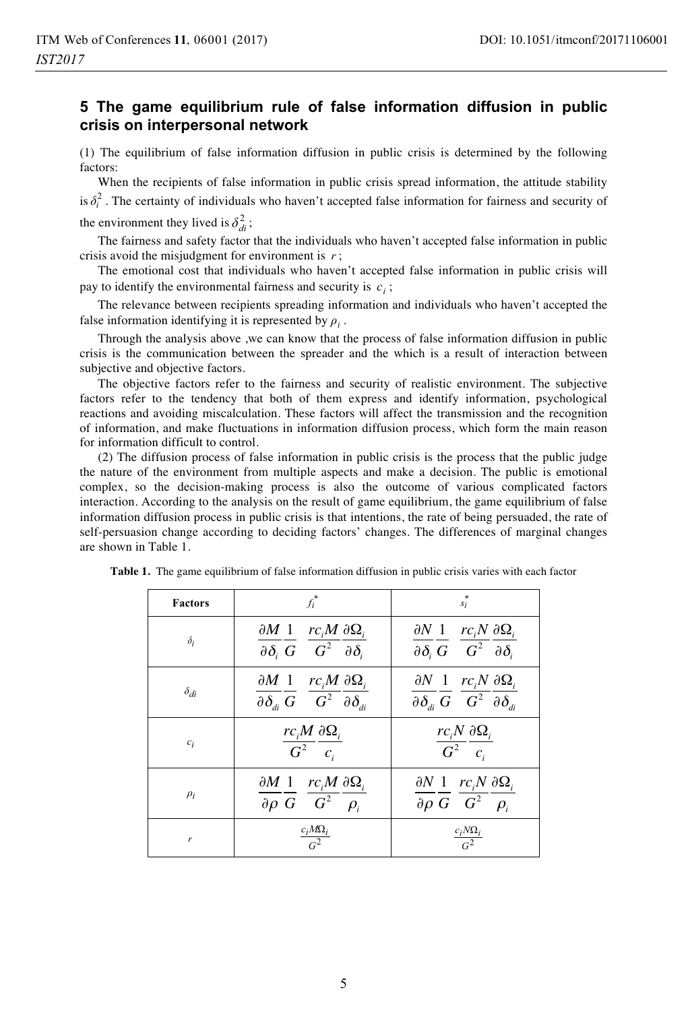## **5 The game equilibrium rule of false information diffusion in public crisis on interpersonal network**

(1) The equilibrium of false information diffusion in public crisis is determined by the following factors:

When the recipients of false information in public crisis spread information, the attitude stability is  $\delta_i^2$ . The certainty of individuals who haven't accepted false information for fairness and security of the environment they lived is  $\delta_{di}^2$ ;

The fairness and safety factor that the individuals who haven't accepted false information in public crisis avoid the misjudgment for environment is *r* ;

The emotional cost that individuals who haven't accepted false information in public crisis will pay to identify the environmental fairness and security is  $c_i$ ;

The relevance between recipients spreading information and individuals who haven't accepted the false information identifying it is represented by  $\rho_i$ .

Through the analysis above ,we can know that the process of false information diffusion in public crisis is the communication between the spreader and the which is a result of interaction between subjective and objective factors.

The objective factors refer to the fairness and security of realistic environment. The subjective factors refer to the tendency that both of them express and identify information, psychological reactions and avoiding miscalculation. These factors will affect the transmission and the recognition of information, and make fluctuations in information diffusion process, which form the main reason for information difficult to control.

(2) The diffusion process of false information in public crisis is the process that the public judge the nature of the environment from multiple aspects and make a decision. The public is emotional complex, so the decision-making process is also the outcome of various complicated factors interaction. According to the analysis on the result of game equilibrium, the game equilibrium of false information diffusion process in public crisis is that intentions, the rate of being persuaded, the rate of self-persuasion change according to deciding factors' changes. The differences of marginal changes are shown in Table 1.

| <b>Factors</b> | $f_i^*$                                                                                          | $s_i^*$                                                                                                                                     |
|----------------|--------------------------------------------------------------------------------------------------|---------------------------------------------------------------------------------------------------------------------------------------------|
| $\delta_i$     | $\partial M$ 1 $rc_iM \partial \Omega_i$<br>$\partial \delta_i$ G $G^2$ $\partial \delta_i$      | $\partial N \perp$ $rc_iN \partial \Omega_i$<br>$\overline{\partial \delta_i} \overline{G}$ $\overline{G^2}$ $\overline{\partial \delta_i}$ |
| $\delta_{di}$  | $\partial M$ 1 $rc_iM$ $\partial\Omega_i$<br>$\partial \delta_{di} G - G^2 \partial \delta_{di}$ | $\partial N$ 1 $rc_iN \partial \Omega_i$<br>$\partial \delta_{di} G G^2 \partial \delta_{di}$                                               |
| $c_i$          | $rc_iM \partial\Omega_i$<br>$\overline{G^2}$ c <sub>i</sub>                                      | $rc_iN$ $\partial\Omega_i$<br>$\overline{G^2}$ c <sub>i</sub>                                                                               |
| $\rho_i$       | $\partial M$ 1 $rc_iM$ $\partial \Omega_i$<br>$\partial \rho$ G $G^2$ $\rho_i$                   | $\partial N$ 1 $rc_iN \partial \Omega_i$<br>$\partial \rho \ G \ G^2 \ \rho_i$                                                              |
| r              | $\frac{c_i M \Omega_i}{G^2}$                                                                     | $\frac{c_i N\Omega_i}{G^2}$                                                                                                                 |

**Table 1.** The game equilibrium of false information diffusion in public crisis varies with each factor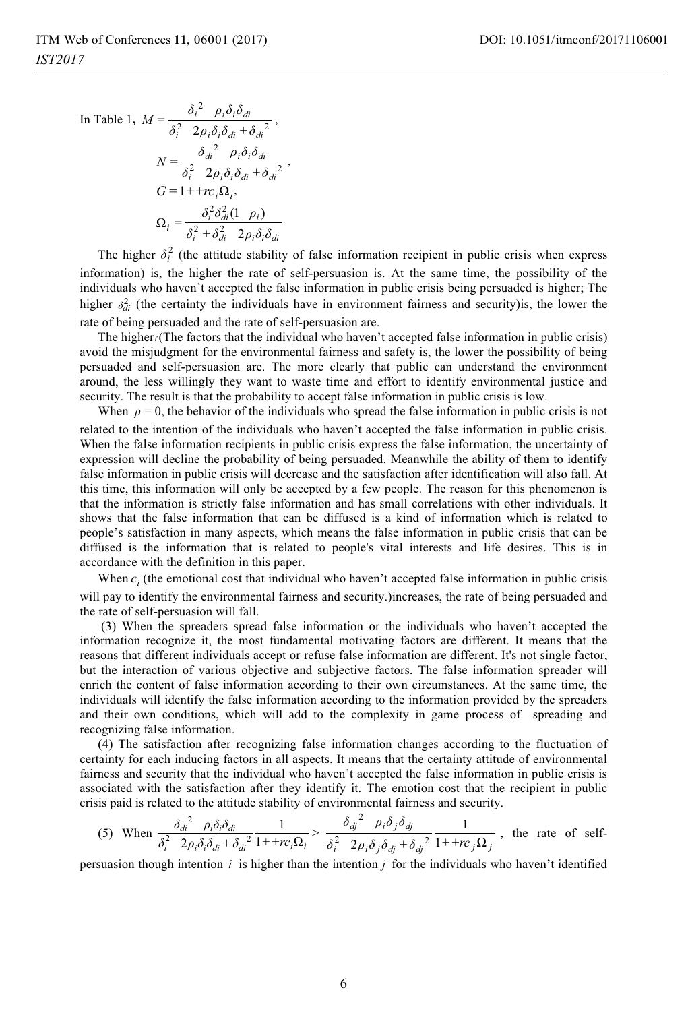In Table 1, 
$$
M = \frac{\delta_i^2 \rho_i \delta_i \delta_{di}}{\delta_i^2 \ 2 \rho_i \delta_i \delta_{di} + \delta_{di}^2},
$$

$$
N = \frac{\delta_{di}^2 \rho_i \delta_i \delta_{di}}{\delta_i^2 \ 2 \rho_i \delta_i \delta_{di} + \delta_{di}^2},
$$

$$
G = 1 + +rc_i \Omega_i,
$$

$$
\Omega_i = \frac{\delta_i^2 \delta_{di}^2 (1 \ \rho_i)}{\delta_i^2 + \delta_{di}^2 \ 2 \rho_i \delta_i \delta_{di}}
$$

The higher  $\delta_i^2$  (the attitude stability of false information recipient in public crisis when express information) is, the higher the rate of self-persuasion is. At the same time, the possibility of the individuals who haven't accepted the false information in public crisis being persuaded is higher; The higher  $\delta_d$  (the certainty the individuals have in environment fairness and security) is, the lower the rate of being persuaded and the rate of self-persuasion are.

The higher*<sup>r</sup>* (The factors that the individual who haven't accepted false information in public crisis) avoid the misjudgment for the environmental fairness and safety is, the lower the possibility of being persuaded and self-persuasion are. The more clearly that public can understand the environment around, the less willingly they want to waste time and effort to identify environmental justice and security. The result is that the probability to accept false information in public crisis is low.

When  $\rho = 0$ , the behavior of the individuals who spread the false information in public crisis is not related to the intention of the individuals who haven't accepted the false information in public crisis. When the false information recipients in public crisis express the false information, the uncertainty of expression will decline the probability of being persuaded. Meanwhile the ability of them to identify false information in public crisis will decrease and the satisfaction after identification will also fall. At this time, this information will only be accepted by a few people. The reason for this phenomenon is that the information is strictly false information and has small correlations with other individuals. It shows that the false information that can be diffused is a kind of information which is related to people's satisfaction in many aspects, which means the false information in public crisis that can be diffused is the information that is related to people's vital interests and life desires. This is in accordance with the definition in this paper.

When  $c_i$  (the emotional cost that individual who haven't accepted false information in public crisis will pay to identify the environmental fairness and security.)increases, the rate of being persuaded and the rate of self-persuasion will fall.

 (3) When the spreaders spread false information or the individuals who haven't accepted the information recognize it, the most fundamental motivating factors are different. It means that the reasons that different individuals accept or refuse false information are different. It's not single factor, but the interaction of various objective and subjective factors. The false information spreader will enrich the content of false information according to their own circumstances. At the same time, the individuals will identify the false information according to the information provided by the spreaders and their own conditions, which will add to the complexity in game process of spreading and recognizing false information.

(4) The satisfaction after recognizing false information changes according to the fluctuation of certainty for each inducing factors in all aspects. It means that the certainty attitude of environmental fairness and security that the individual who haven't accepted the false information in public crisis is associated with the satisfaction after they identify it. The emotion cost that the recipient in public crisis paid is related to the attitude stability of environmental fairness and security.

(5) When 
$$
\frac{\delta_{di}^2 \rho_i \delta_i \delta_{di}}{\delta_i^2 2\rho_i \delta_i \delta_{di} + \delta_{di}^2} \frac{1}{1 + r c_i \Omega_i} > \frac{\delta_{dj}^2 \rho_i \delta_j \delta_{dj}}{\delta_i^2 2\rho_i \delta_j \delta_{dj} + \delta_{dj}^2} \frac{1}{1 + r c_j \Omega_j},
$$
 the rate of self-

persuasion though intention  $i$  is higher than the intention  $j$  for the individuals who haven't identified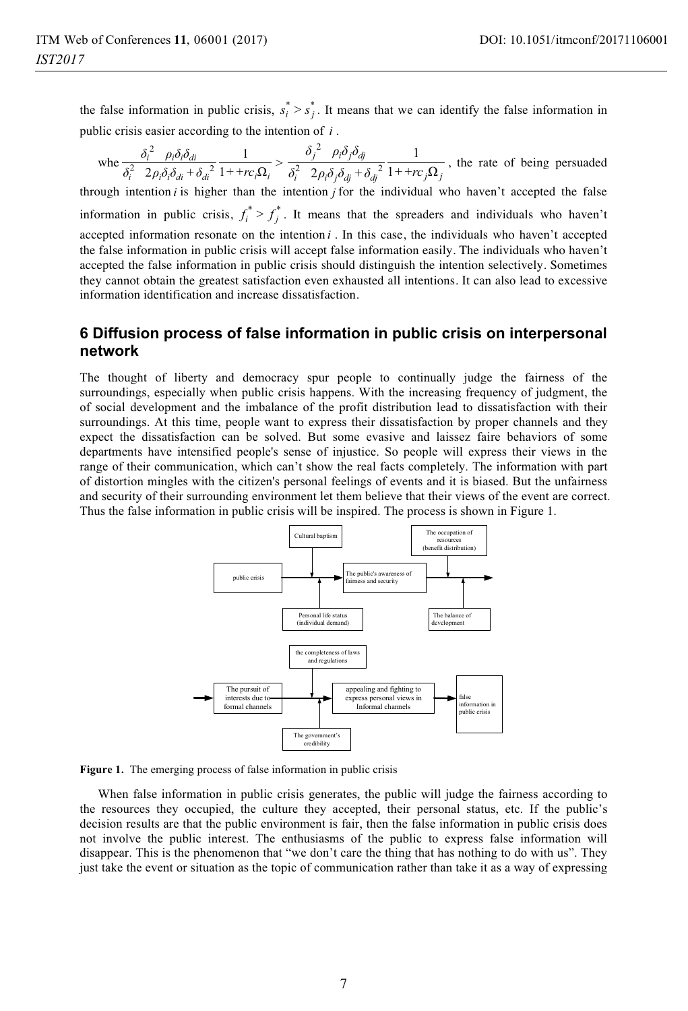the false information in public crisis,  $s_i^* > s_j^*$ . It means that we can identify the false information in public crisis easier according to the intention of *i* .

$$
\text{whe } \frac{\delta_i^2 \rho_i \delta_i \delta_{di}}{\delta_i^2 \ 2 \rho_i \delta_i \delta_{di} + \delta_{di}^2} \frac{1}{1 + r c_i \Omega_i} > \frac{\delta_j^2 \rho_i \delta_j \delta_{dj}}{\delta_i^2 \ 2 \rho_i \delta_j \delta_{dj} + \delta_{dj}^2} \frac{1}{1 + r c_j \Omega_j},
$$
 the rate of being persuaded

through intention  $i$  is higher than the intention  $j$  for the individual who haven't accepted the false information in public crisis,  $f_i^* > f_i^*$ . It means that the spreaders and individuals who haven't accepted information resonate on the intention *i* . In this case, the individuals who haven't accepted the false information in public crisis will accept false information easily. The individuals who haven't accepted the false information in public crisis should distinguish the intention selectively. Sometimes they cannot obtain the greatest satisfaction even exhausted all intentions. It can also lead to excessive information identification and increase dissatisfaction.

# **6 Diffusion process of false information in public crisis on interpersonal network**

The thought of liberty and democracy spur people to continually judge the fairness of the surroundings, especially when public crisis happens. With the increasing frequency of judgment, the of social development and the imbalance of the profit distribution lead to dissatisfaction with their surroundings. At this time, people want to express their dissatisfaction by proper channels and they expect the dissatisfaction can be solved. But some evasive and laissez faire behaviors of some departments have intensified people's sense of injustice. So people will express their views in the range of their communication, which can't show the real facts completely. The information with part of distortion mingles with the citizen's personal feelings of events and it is biased. But the unfairness and security of their surrounding environment let them believe that their views of the event are correct. Thus the false information in public crisis will be inspired. The process is shown in Figure 1.



**Figure 1.** The emerging process of false information in public crisis

When false information in public crisis generates, the public will judge the fairness according to the resources they occupied, the culture they accepted, their personal status, etc. If the public's decision results are that the public environment is fair, then the false information in public crisis does not involve the public interest. The enthusiasms of the public to express false information will disappear. This is the phenomenon that "we don't care the thing that has nothing to do with us". They just take the event or situation as the topic of communication rather than take it as a way of expressing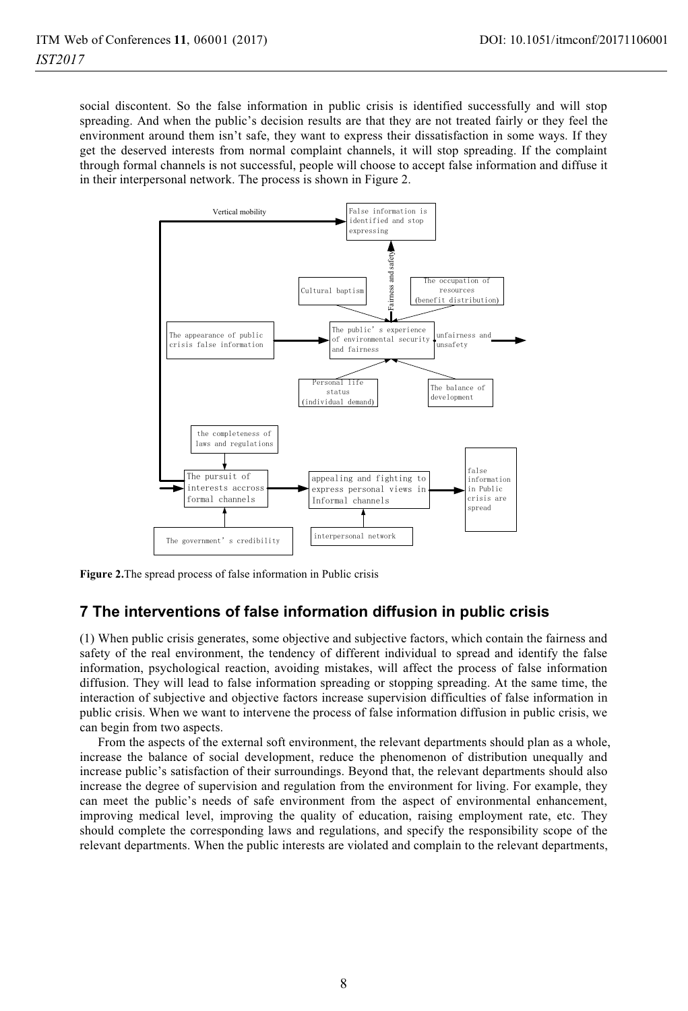social discontent. So the false information in public crisis is identified successfully and will stop spreading. And when the public's decision results are that they are not treated fairly or they feel the environment around them isn't safe, they want to express their dissatisfaction in some ways. If they get the deserved interests from normal complaint channels, it will stop spreading. If the complaint through formal channels is not successful, people will choose to accept false information and diffuse it in their interpersonal network. The process is shown in Figure 2.



**Figure 2.**The spread process of false information in Public crisis

## **7 The interventions of false information diffusion in public crisis**

(1) When public crisis generates, some objective and subjective factors, which contain the fairness and safety of the real environment, the tendency of different individual to spread and identify the false information, psychological reaction, avoiding mistakes, will affect the process of false information diffusion. They will lead to false information spreading or stopping spreading. At the same time, the interaction of subjective and objective factors increase supervision difficulties of false information in public crisis. When we want to intervene the process of false information diffusion in public crisis, we can begin from two aspects.

From the aspects of the external soft environment, the relevant departments should plan as a whole, increase the balance of social development, reduce the phenomenon of distribution unequally and increase public's satisfaction of their surroundings. Beyond that, the relevant departments should also increase the degree of supervision and regulation from the environment for living. For example, they can meet the public's needs of safe environment from the aspect of environmental enhancement, improving medical level, improving the quality of education, raising employment rate, etc. They should complete the corresponding laws and regulations, and specify the responsibility scope of the relevant departments. When the public interests are violated and complain to the relevant departments,